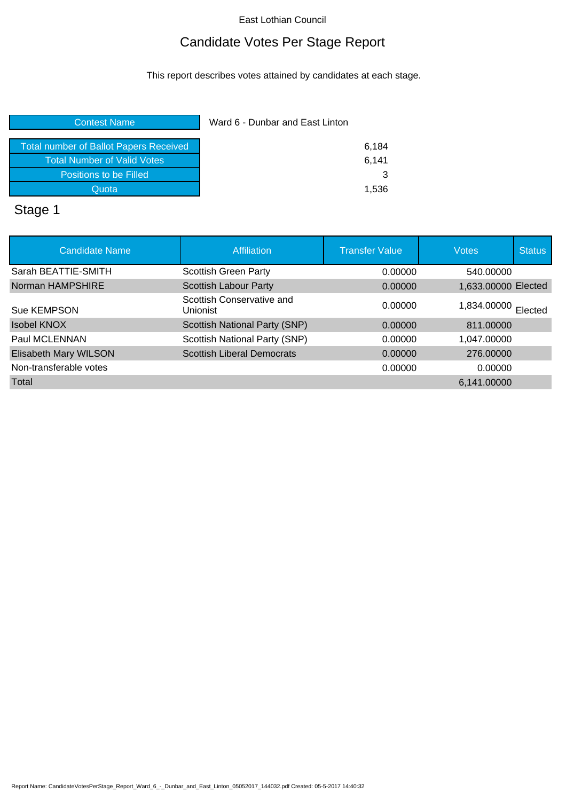## Candidate Votes Per Stage Report

This report describes votes attained by candidates at each stage.

| Contest Name                                  | Ward 6 - Dunbar and East Linton |  |
|-----------------------------------------------|---------------------------------|--|
| <b>Total number of Ballot Papers Received</b> | 6,184                           |  |
| <b>Total Number of Valid Votes</b>            | 6.141                           |  |
| Positions to be Filled                        | 3                               |  |
| Quota                                         | 1,536                           |  |
|                                               |                                 |  |

# Stage 1

| <b>Candidate Name</b>  | <b>Affiliation</b>                    | <b>Transfer Value</b> | <b>Votes</b>        | <b>Status</b> |
|------------------------|---------------------------------------|-----------------------|---------------------|---------------|
| Sarah BEATTIE-SMITH    | <b>Scottish Green Party</b>           | 0.00000               | 540,00000           |               |
| Norman HAMPSHIRE       | <b>Scottish Labour Party</b>          | 0.00000               | 1,633.00000 Elected |               |
| Sue KEMPSON            | Scottish Conservative and<br>Unionist | 0.00000               | 1,834.00000 Elected |               |
| <b>Isobel KNOX</b>     | Scottish National Party (SNP)         | 0.00000               | 811.00000           |               |
| Paul MCLENNAN          | Scottish National Party (SNP)         | 0.00000               | 1,047.00000         |               |
| Elisabeth Mary WILSON  | <b>Scottish Liberal Democrats</b>     | 0.00000               | 276.00000           |               |
| Non-transferable votes |                                       | 0.00000               | 0.00000             |               |
| Total                  |                                       |                       | 6,141.00000         |               |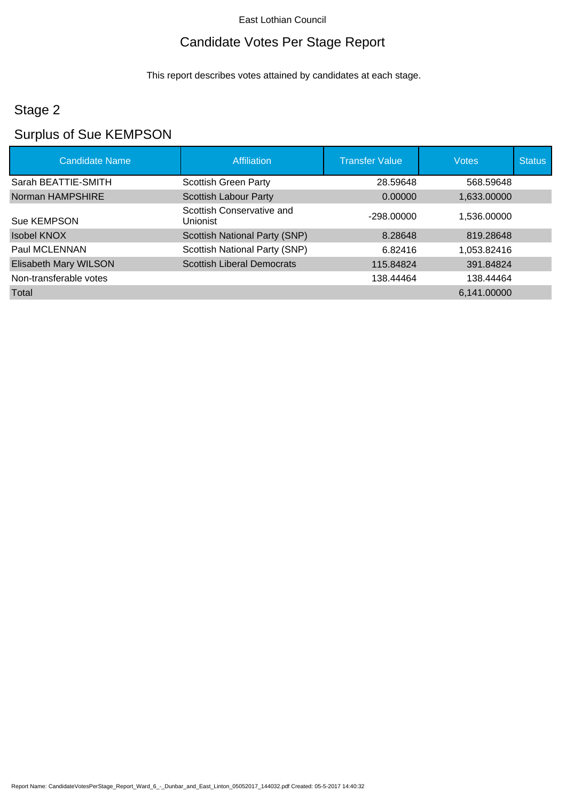## Candidate Votes Per Stage Report

This report describes votes attained by candidates at each stage.

## Stage 2

# Surplus of Sue KEMPSON

| <b>Candidate Name</b>  | Affiliation                           | <b>Transfer Value</b> | <b>Votes</b> | <b>Status</b> |
|------------------------|---------------------------------------|-----------------------|--------------|---------------|
| Sarah BEATTIE-SMITH    | <b>Scottish Green Party</b>           | 28.59648              | 568.59648    |               |
| Norman HAMPSHIRE       | <b>Scottish Labour Party</b>          | 0.00000               | 1,633.00000  |               |
| Sue KEMPSON            | Scottish Conservative and<br>Unionist | -298.00000            | 1.536.00000  |               |
| <b>Isobel KNOX</b>     | <b>Scottish National Party (SNP)</b>  | 8.28648               | 819.28648    |               |
| Paul MCLENNAN          | Scottish National Party (SNP)         | 6.82416               | 1,053.82416  |               |
| Elisabeth Mary WILSON  | <b>Scottish Liberal Democrats</b>     | 115.84824             | 391.84824    |               |
| Non-transferable votes |                                       | 138.44464             | 138.44464    |               |
| Total                  |                                       |                       | 6,141.00000  |               |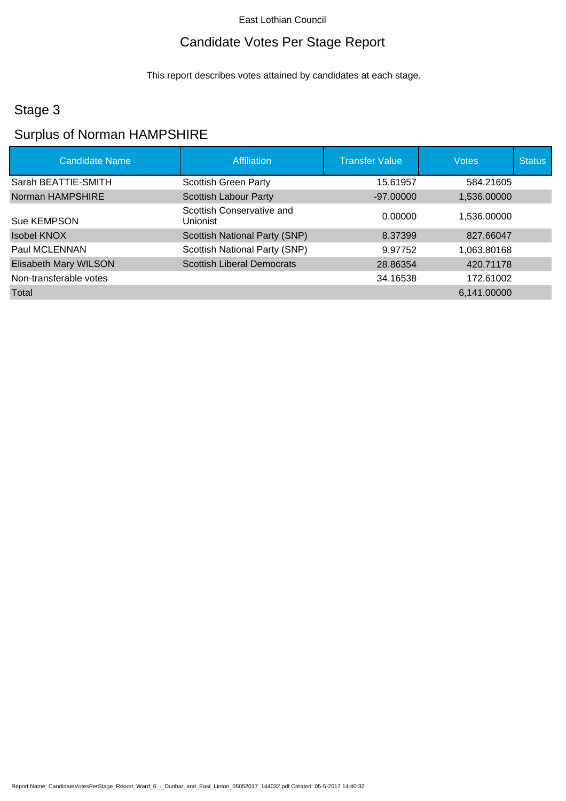## Candidate Votes Per Stage Report

This report describes votes attained by candidates at each stage.

## Stage 3

## Surplus of Norman HAMPSHIRE

| <b>Candidate Name</b>  | Affiliation                           | <b>Transfer Value</b> | <b>Votes</b> | <b>Status</b> |
|------------------------|---------------------------------------|-----------------------|--------------|---------------|
| Sarah BEATTIE-SMITH    | <b>Scottish Green Party</b>           | 15.61957              | 584.21605    |               |
| Norman HAMPSHIRE       | <b>Scottish Labour Party</b>          | $-97.00000$           | 1,536.00000  |               |
| Sue KEMPSON            | Scottish Conservative and<br>Unionist | 0.00000               | 1,536.00000  |               |
| <b>Isobel KNOX</b>     | Scottish National Party (SNP)         | 8.37399               | 827.66047    |               |
| Paul MCLENNAN          | Scottish National Party (SNP)         | 9.97752               | 1,063.80168  |               |
| Elisabeth Mary WILSON  | <b>Scottish Liberal Democrats</b>     | 28.86354              | 420.71178    |               |
| Non-transferable votes |                                       | 34.16538              | 172.61002    |               |
| Total                  |                                       |                       | 6,141.00000  |               |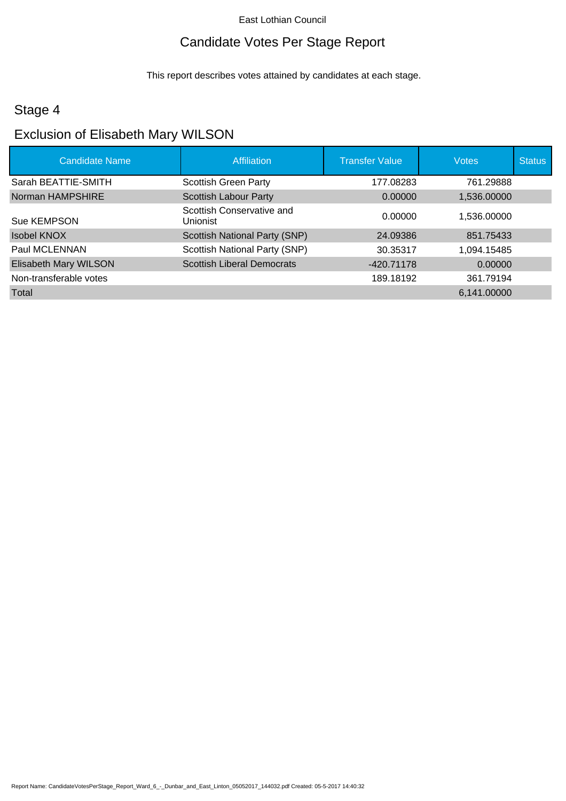## Candidate Votes Per Stage Report

This report describes votes attained by candidates at each stage.

#### Stage 4

#### Exclusion of Elisabeth Mary WILSON

| <b>Candidate Name</b>  | Affiliation                           | <b>Transfer Value</b> | <b>Votes</b> | <b>Status</b> |
|------------------------|---------------------------------------|-----------------------|--------------|---------------|
| Sarah BEATTIE-SMITH    | <b>Scottish Green Party</b>           | 177.08283             | 761.29888    |               |
| Norman HAMPSHIRE       | <b>Scottish Labour Party</b>          | 0.00000               | 1,536.00000  |               |
| Sue KEMPSON            | Scottish Conservative and<br>Unionist | 0.00000               | 1,536.00000  |               |
| <b>Isobel KNOX</b>     | <b>Scottish National Party (SNP)</b>  | 24.09386              | 851.75433    |               |
| Paul MCLENNAN          | Scottish National Party (SNP)         | 30.35317              | 1,094.15485  |               |
| Elisabeth Mary WILSON  | <b>Scottish Liberal Democrats</b>     | -420.71178            | 0.00000      |               |
| Non-transferable votes |                                       | 189.18192             | 361.79194    |               |
| Total                  |                                       |                       | 6,141.00000  |               |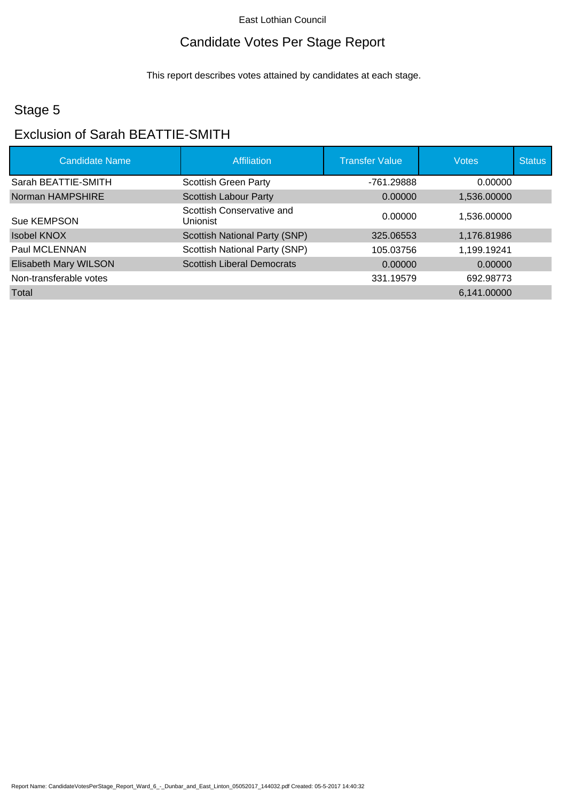## Candidate Votes Per Stage Report

This report describes votes attained by candidates at each stage.

## Stage 5

# Exclusion of Sarah BEATTIE-SMITH

| <b>Candidate Name</b>  | Affiliation                           | <b>Transfer Value</b> | <b>Votes</b> | <b>Status</b> |
|------------------------|---------------------------------------|-----------------------|--------------|---------------|
| Sarah BEATTIE-SMITH    | <b>Scottish Green Party</b>           | -761.29888            | 0.00000      |               |
| Norman HAMPSHIRE       | <b>Scottish Labour Party</b>          | 0.00000               | 1,536.00000  |               |
| Sue KEMPSON            | Scottish Conservative and<br>Unionist | 0.00000               | 1.536.00000  |               |
| <b>Isobel KNOX</b>     | Scottish National Party (SNP)         | 325.06553             | 1,176.81986  |               |
| Paul MCLENNAN          | Scottish National Party (SNP)         | 105.03756             | 1,199.19241  |               |
| Elisabeth Mary WILSON  | <b>Scottish Liberal Democrats</b>     | 0.00000               | 0.00000      |               |
| Non-transferable votes |                                       | 331.19579             | 692.98773    |               |
| Total                  |                                       |                       | 6,141.00000  |               |